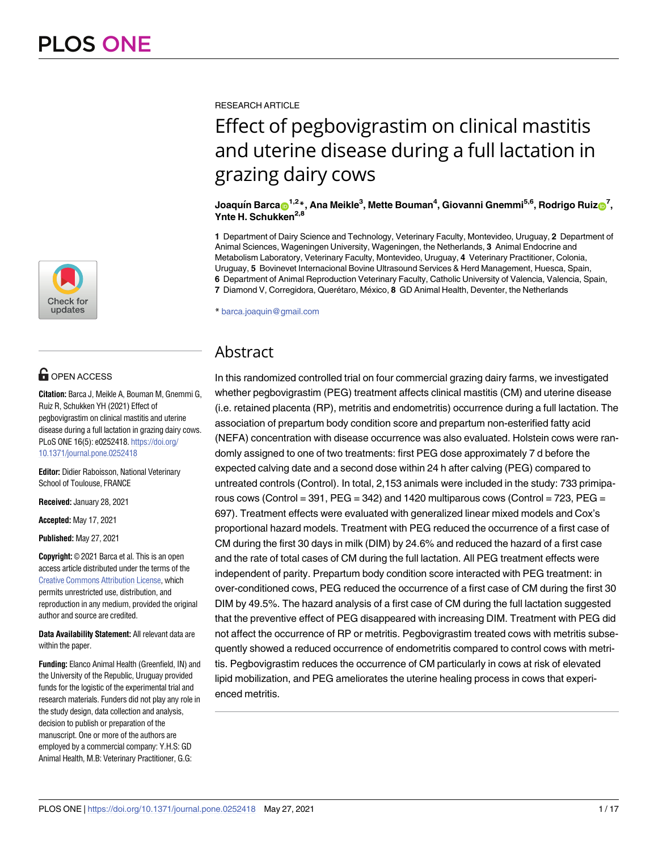

# **OPEN ACCESS**

**Citation:** Barca J, Meikle A, Bouman M, Gnemmi G, Ruiz R, Schukken YH (2021) Effect of pegbovigrastim on clinical mastitis and uterine disease during a full lactation in grazing dairy cows. PLoS ONE 16(5): e0252418. [https://doi.org/](https://doi.org/10.1371/journal.pone.0252418) [10.1371/journal.pone.0252418](https://doi.org/10.1371/journal.pone.0252418)

**Editor:** Didier Raboisson, National Veterinary School of Toulouse, FRANCE

**Received:** January 28, 2021

**Accepted:** May 17, 2021

**Published:** May 27, 2021

**Copyright:** © 2021 Barca et al. This is an open access article distributed under the terms of the Creative Commons [Attribution](http://creativecommons.org/licenses/by/4.0/) License, which permits unrestricted use, distribution, and reproduction in any medium, provided the original author and source are credited.

**Data Availability Statement:** All relevant data are within the paper.

**Funding:** Elanco Animal Health (Greenfield, IN) and the University of the Republic, Uruguay provided funds for the logistic of the experimental trial and research materials. Funders did not play any role in the study design, data collection and analysis, decision to publish or preparation of the manuscript. One or more of the authors are employed by a commercial company: Y.H.S: GD Animal Health, M.B: Veterinary Practitioner, G.G:

RESEARCH ARTICLE

# Effect of pegbovigrastim on clinical mastitis and uterine disease during a full lactation in grazing dairy cows

#### $\frac{1}{2}$  Joaquín Barca $\textbf{D}^{1,2\,*}$ , Ana Meikle $^3$ , Mette Bouman $^4$ , Giovanni Gnemmi $^{5,6}$ , Rodrigo Ruiz $\textbf{D}^7$ , **Ynte H. Schukken<sup>2,8</sup>**

**1** Department of Dairy Science and Technology, Veterinary Faculty, Montevideo, Uruguay, **2** Department of Animal Sciences, Wageningen University, Wageningen, the Netherlands, **3** Animal Endocrine and Metabolism Laboratory, Veterinary Faculty, Montevideo, Uruguay, **4** Veterinary Practitioner, Colonia, Uruguay, **5** Bovinevet Internacional Bovine Ultrasound Services & Herd Management, Huesca, Spain, **6** Department of Animal Reproduction Veterinary Faculty, Catholic University of Valencia, Valencia, Spain, **7** Diamond V, Corregidora, Querétaro, México, 8 GD Animal Health, Deventer, the Netherlands

\* barca.joaquin@gmail.com

# Abstract

In this randomized controlled trial on four commercial grazing dairy farms, we investigated whether pegbovigrastim (PEG) treatment affects clinical mastitis (CM) and uterine disease (i.e. retained placenta (RP), metritis and endometritis) occurrence during a full lactation. The association of prepartum body condition score and prepartum non-esterified fatty acid (NEFA) concentration with disease occurrence was also evaluated. Holstein cows were randomly assigned to one of two treatments: first PEG dose approximately 7 d before the expected calving date and a second dose within 24 h after calving (PEG) compared to untreated controls (Control). In total, 2,153 animals were included in the study: 733 primiparous cows (Control = 391, PEG = 342) and 1420 multiparous cows (Control = 723, PEG = 697). Treatment effects were evaluated with generalized linear mixed models and Cox's proportional hazard models. Treatment with PEG reduced the occurrence of a first case of CM during the first 30 days in milk (DIM) by 24.6% and reduced the hazard of a first case and the rate of total cases of CM during the full lactation. All PEG treatment effects were independent of parity. Prepartum body condition score interacted with PEG treatment: in over-conditioned cows, PEG reduced the occurrence of a first case of CM during the first 30 DIM by 49.5%. The hazard analysis of a first case of CM during the full lactation suggested that the preventive effect of PEG disappeared with increasing DIM. Treatment with PEG did not affect the occurrence of RP or metritis. Pegbovigrastim treated cows with metritis subsequently showed a reduced occurrence of endometritis compared to control cows with metritis. Pegbovigrastim reduces the occurrence of CM particularly in cows at risk of elevated lipid mobilization, and PEG ameliorates the uterine healing process in cows that experienced metritis.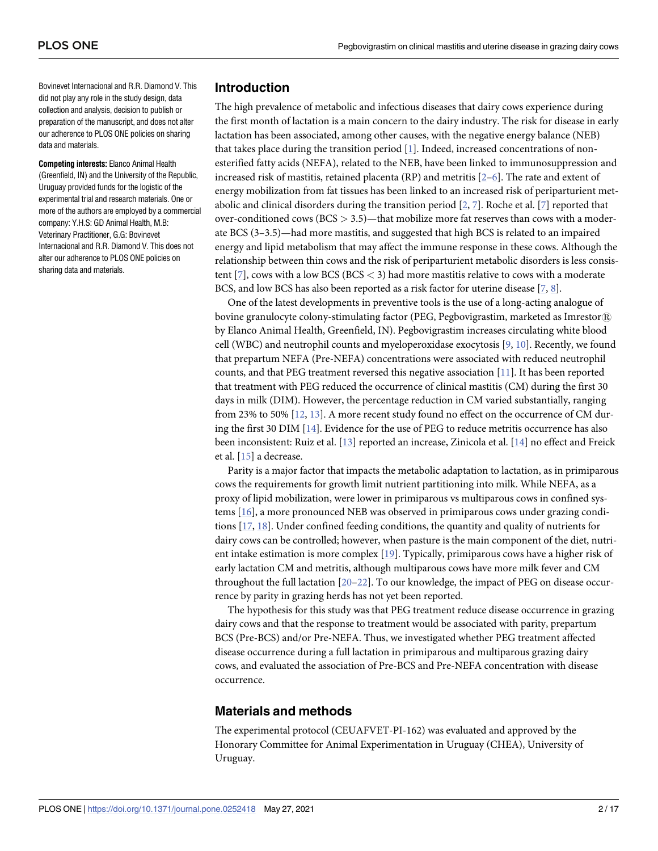<span id="page-1-0"></span>Bovinevet Internacional and R.R. Diamond V. This did not play any role in the study design, data collection and analysis, decision to publish or preparation of the manuscript, and does not alter our adherence to PLOS ONE policies on sharing data and materials.

**Competing interests:** Elanco Animal Health (Greenfield, IN) and the University of the Republic, Uruguay provided funds for the logistic of the experimental trial and research materials. One or more of the authors are employed by a commercial company: Y.H.S: GD Animal Health, M.B: Veterinary Practitioner, G.G: Bovinevet Internacional and R.R. Diamond V. This does not alter our adherence to PLOS ONE policies on sharing data and materials.

## **Introduction**

The high prevalence of metabolic and infectious diseases that dairy cows experience during the first month of lactation is a main concern to the dairy industry. The risk for disease in early lactation has been associated, among other causes, with the negative energy balance (NEB) that takes place during the transition period [[1](#page-14-0)]. Indeed, increased concentrations of nonesterified fatty acids (NEFA), related to the NEB, have been linked to immunosuppression and increased risk of mastitis, retained placenta (RP) and metritis [\[2–6\]](#page-14-0). The rate and extent of energy mobilization from fat tissues has been linked to an increased risk of periparturient metabolic and clinical disorders during the transition period [\[2](#page-14-0), [7](#page-14-0)]. Roche et al. [[7](#page-14-0)] reported that over-conditioned cows (BCS *>* 3.5)—that mobilize more fat reserves than cows with a moderate BCS (3–3.5)—had more mastitis, and suggested that high BCS is related to an impaired energy and lipid metabolism that may affect the immune response in these cows. Although the relationship between thin cows and the risk of periparturient metabolic disorders is less consistent [\[7](#page-14-0)], cows with a low BCS (BCS *<* 3) had more mastitis relative to cows with a moderate BCS, and low BCS has also been reported as a risk factor for uterine disease [\[7](#page-14-0), [8](#page-14-0)].

One of the latest developments in preventive tools is the use of a long-acting analogue of bovine granulocyte colony-stimulating factor (PEG, Pegbovigrastim, marketed as Imrestor®) by Elanco Animal Health, Greenfield, IN). Pegbovigrastim increases circulating white blood cell (WBC) and neutrophil counts and myeloperoxidase exocytosis [[9](#page-14-0), [10](#page-14-0)]. Recently, we found that prepartum NEFA (Pre-NEFA) concentrations were associated with reduced neutrophil counts, and that PEG treatment reversed this negative association [[11](#page-14-0)]. It has been reported that treatment with PEG reduced the occurrence of clinical mastitis (CM) during the first 30 days in milk (DIM). However, the percentage reduction in CM varied substantially, ranging from 23% to 50% [\[12,](#page-14-0) [13\]](#page-14-0). A more recent study found no effect on the occurrence of CM during the first 30 DIM [[14](#page-14-0)]. Evidence for the use of PEG to reduce metritis occurrence has also been inconsistent: Ruiz et al. [[13](#page-14-0)] reported an increase, Zinicola et al. [[14](#page-14-0)] no effect and Freick et al. [\[15\]](#page-14-0) a decrease.

Parity is a major factor that impacts the metabolic adaptation to lactation, as in primiparous cows the requirements for growth limit nutrient partitioning into milk. While NEFA, as a proxy of lipid mobilization, were lower in primiparous vs multiparous cows in confined systems [[16](#page-14-0)], a more pronounced NEB was observed in primiparous cows under grazing conditions [\[17,](#page-15-0) [18\]](#page-15-0). Under confined feeding conditions, the quantity and quality of nutrients for dairy cows can be controlled; however, when pasture is the main component of the diet, nutrient intake estimation is more complex [[19](#page-15-0)]. Typically, primiparous cows have a higher risk of early lactation CM and metritis, although multiparous cows have more milk fever and CM throughout the full lactation [[20](#page-15-0)–[22](#page-15-0)]. To our knowledge, the impact of PEG on disease occurrence by parity in grazing herds has not yet been reported.

The hypothesis for this study was that PEG treatment reduce disease occurrence in grazing dairy cows and that the response to treatment would be associated with parity, prepartum BCS (Pre-BCS) and/or Pre-NEFA. Thus, we investigated whether PEG treatment affected disease occurrence during a full lactation in primiparous and multiparous grazing dairy cows, and evaluated the association of Pre-BCS and Pre-NEFA concentration with disease occurrence.

# **Materials and methods**

The experimental protocol (CEUAFVET-PI-162) was evaluated and approved by the Honorary Committee for Animal Experimentation in Uruguay (CHEA), University of Uruguay.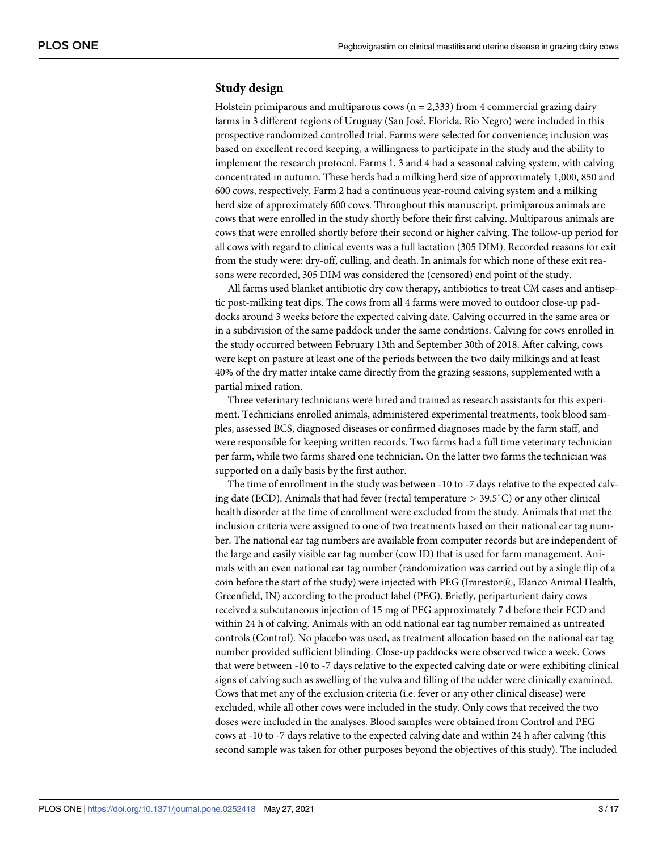#### **Study design**

Holstein primiparous and multiparous cows ( $n = 2,333$ ) from 4 commercial grazing dairy farms in 3 different regions of Uruguay (San José, Florida, Rio Negro) were included in this prospective randomized controlled trial. Farms were selected for convenience; inclusion was based on excellent record keeping, a willingness to participate in the study and the ability to implement the research protocol. Farms 1, 3 and 4 had a seasonal calving system, with calving concentrated in autumn. These herds had a milking herd size of approximately 1,000, 850 and 600 cows, respectively. Farm 2 had a continuous year-round calving system and a milking herd size of approximately 600 cows. Throughout this manuscript, primiparous animals are cows that were enrolled in the study shortly before their first calving. Multiparous animals are cows that were enrolled shortly before their second or higher calving. The follow-up period for all cows with regard to clinical events was a full lactation (305 DIM). Recorded reasons for exit from the study were: dry-off, culling, and death. In animals for which none of these exit reasons were recorded, 305 DIM was considered the (censored) end point of the study.

All farms used blanket antibiotic dry cow therapy, antibiotics to treat CM cases and antiseptic post-milking teat dips. The cows from all 4 farms were moved to outdoor close-up paddocks around 3 weeks before the expected calving date. Calving occurred in the same area or in a subdivision of the same paddock under the same conditions. Calving for cows enrolled in the study occurred between February 13th and September 30th of 2018. After calving, cows were kept on pasture at least one of the periods between the two daily milkings and at least 40% of the dry matter intake came directly from the grazing sessions, supplemented with a partial mixed ration.

Three veterinary technicians were hired and trained as research assistants for this experiment. Technicians enrolled animals, administered experimental treatments, took blood samples, assessed BCS, diagnosed diseases or confirmed diagnoses made by the farm staff, and were responsible for keeping written records. Two farms had a full time veterinary technician per farm, while two farms shared one technician. On the latter two farms the technician was supported on a daily basis by the first author.

The time of enrollment in the study was between -10 to -7 days relative to the expected calving date (ECD). Animals that had fever (rectal temperature *>* 39.5˚C) or any other clinical health disorder at the time of enrollment were excluded from the study. Animals that met the inclusion criteria were assigned to one of two treatments based on their national ear tag number. The national ear tag numbers are available from computer records but are independent of the large and easily visible ear tag number (cow ID) that is used for farm management. Animals with an even national ear tag number (randomization was carried out by a single flip of a coin before the start of the study) were injected with PEG (Imrestor $\mathbb{R}$ ), Elanco Animal Health, Greenfield, IN) according to the product label (PEG). Briefly, periparturient dairy cows received a subcutaneous injection of 15 mg of PEG approximately 7 d before their ECD and within 24 h of calving. Animals with an odd national ear tag number remained as untreated controls (Control). No placebo was used, as treatment allocation based on the national ear tag number provided sufficient blinding. Close-up paddocks were observed twice a week. Cows that were between -10 to -7 days relative to the expected calving date or were exhibiting clinical signs of calving such as swelling of the vulva and filling of the udder were clinically examined. Cows that met any of the exclusion criteria (i.e. fever or any other clinical disease) were excluded, while all other cows were included in the study. Only cows that received the two doses were included in the analyses. Blood samples were obtained from Control and PEG cows at -10 to -7 days relative to the expected calving date and within 24 h after calving (this second sample was taken for other purposes beyond the objectives of this study). The included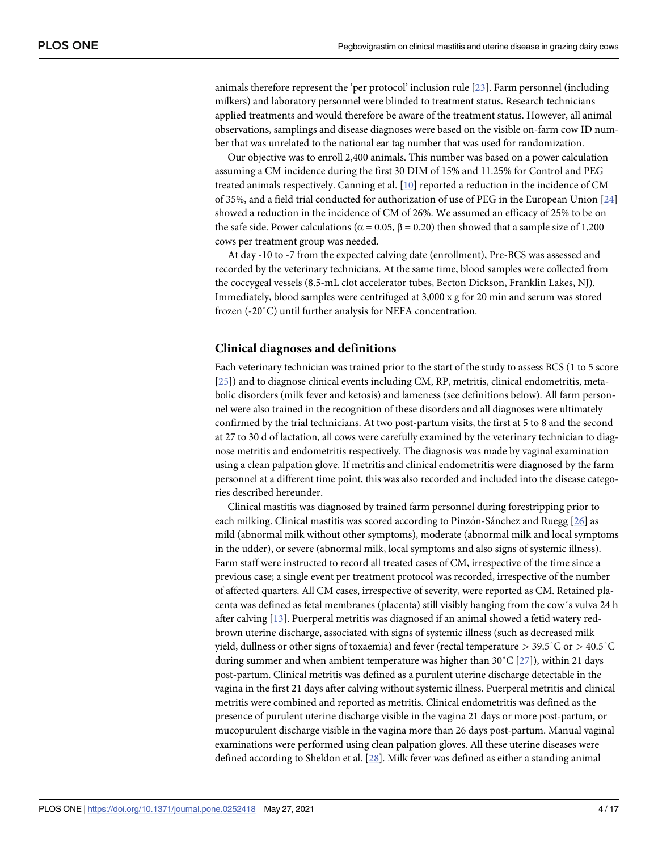<span id="page-3-0"></span>animals therefore represent the 'per protocol' inclusion rule [\[23\]](#page-15-0). Farm personnel (including milkers) and laboratory personnel were blinded to treatment status. Research technicians applied treatments and would therefore be aware of the treatment status. However, all animal observations, samplings and disease diagnoses were based on the visible on-farm cow ID number that was unrelated to the national ear tag number that was used for randomization.

Our objective was to enroll 2,400 animals. This number was based on a power calculation assuming a CM incidence during the first 30 DIM of 15% and 11.25% for Control and PEG treated animals respectively. Canning et al. [\[10\]](#page-14-0) reported a reduction in the incidence of CM of 35%, and a field trial conducted for authorization of use of PEG in the European Union [\[24\]](#page-15-0) showed a reduction in the incidence of CM of 26%. We assumed an efficacy of 25% to be on the safe side. Power calculations ( $\alpha$  = 0.05,  $\beta$  = 0.20) then showed that a sample size of 1,200 cows per treatment group was needed.

At day -10 to -7 from the expected calving date (enrollment), Pre-BCS was assessed and recorded by the veterinary technicians. At the same time, blood samples were collected from the coccygeal vessels (8.5-mL clot accelerator tubes, Becton Dickson, Franklin Lakes, NJ). Immediately, blood samples were centrifuged at 3,000 x g for 20 min and serum was stored frozen (-20˚C) until further analysis for NEFA concentration.

#### **Clinical diagnoses and definitions**

Each veterinary technician was trained prior to the start of the study to assess BCS (1 to 5 score [\[25\]](#page-15-0)) and to diagnose clinical events including CM, RP, metritis, clinical endometritis, metabolic disorders (milk fever and ketosis) and lameness (see definitions below). All farm personnel were also trained in the recognition of these disorders and all diagnoses were ultimately confirmed by the trial technicians. At two post-partum visits, the first at 5 to 8 and the second at 27 to 30 d of lactation, all cows were carefully examined by the veterinary technician to diagnose metritis and endometritis respectively. The diagnosis was made by vaginal examination using a clean palpation glove. If metritis and clinical endometritis were diagnosed by the farm personnel at a different time point, this was also recorded and included into the disease categories described hereunder.

Clinical mastitis was diagnosed by trained farm personnel during forestripping prior to each milking. Clinical mastitis was scored according to Pinzón-Sánchez and Ruegg [\[26\]](#page-15-0) as mild (abnormal milk without other symptoms), moderate (abnormal milk and local symptoms in the udder), or severe (abnormal milk, local symptoms and also signs of systemic illness). Farm staff were instructed to record all treated cases of CM, irrespective of the time since a previous case; a single event per treatment protocol was recorded, irrespective of the number of affected quarters. All CM cases, irrespective of severity, were reported as CM. Retained placenta was defined as fetal membranes (placenta) still visibly hanging from the cow´s vulva 24 h after calving [\[13\]](#page-14-0). Puerperal metritis was diagnosed if an animal showed a fetid watery redbrown uterine discharge, associated with signs of systemic illness (such as decreased milk yield, dullness or other signs of toxaemia) and fever (rectal temperature *>* 39.5˚C or *>* 40.5˚C during summer and when ambient temperature was higher than  $30^{\circ}C$  [\[27\]](#page-15-0)), within 21 days post-partum. Clinical metritis was defined as a purulent uterine discharge detectable in the vagina in the first 21 days after calving without systemic illness. Puerperal metritis and clinical metritis were combined and reported as metritis. Clinical endometritis was defined as the presence of purulent uterine discharge visible in the vagina 21 days or more post-partum, or mucopurulent discharge visible in the vagina more than 26 days post-partum. Manual vaginal examinations were performed using clean palpation gloves. All these uterine diseases were defined according to Sheldon et al. [\[28\]](#page-15-0). Milk fever was defined as either a standing animal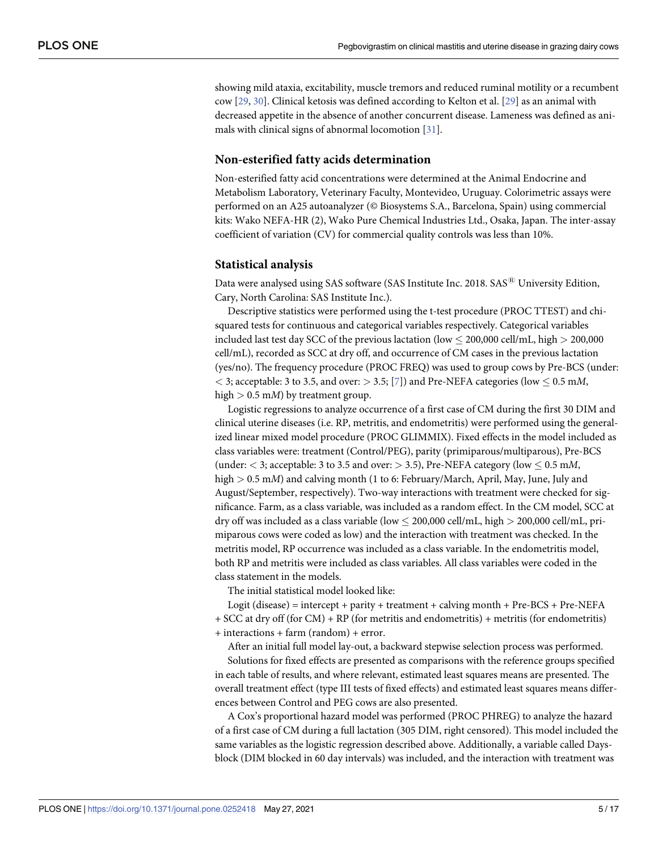<span id="page-4-0"></span>showing mild ataxia, excitability, muscle tremors and reduced ruminal motility or a recumbent cow [[29](#page-15-0), [30](#page-15-0)]. Clinical ketosis was defined according to Kelton et al. [\[29\]](#page-15-0) as an animal with decreased appetite in the absence of another concurrent disease. Lameness was defined as animals with clinical signs of abnormal locomotion [[31](#page-15-0)].

#### **Non-esterified fatty acids determination**

Non-esterified fatty acid concentrations were determined at the Animal Endocrine and Metabolism Laboratory, Veterinary Faculty, Montevideo, Uruguay. Colorimetric assays were performed on an A25 autoanalyzer (© Biosystems S.A., Barcelona, Spain) using commercial kits: Wako NEFA-HR (2), Wako Pure Chemical Industries Ltd., Osaka, Japan. The inter-assay coefficient of variation (CV) for commercial quality controls was less than 10%.

#### **Statistical analysis**

Data were analysed using SAS software (SAS Institute Inc. 2018. SAS<sup>®</sup> University Edition, Cary, North Carolina: SAS Institute Inc.).

Descriptive statistics were performed using the t-test procedure (PROC TTEST) and chisquared tests for continuous and categorical variables respectively. Categorical variables included last test day SCC of the previous lactation (low � 200,000 cell/mL, high *>* 200,000 cell/mL), recorded as SCC at dry off, and occurrence of CM cases in the previous lactation (yes/no). The frequency procedure (PROC FREQ) was used to group cows by Pre-BCS (under:  $\langle$  3; acceptable: 3 to 3.5, and over:  $>$  3.5; [\[7\]](#page-14-0)) and Pre-NEFA categories (low  $\leq$  0.5 m*M*, high *>* 0.5 m*M*) by treatment group.

Logistic regressions to analyze occurrence of a first case of CM during the first 30 DIM and clinical uterine diseases (i.e. RP, metritis, and endometritis) were performed using the generalized linear mixed model procedure (PROC GLIMMIX). Fixed effects in the model included as class variables were: treatment (Control/PEG), parity (primiparous/multiparous), Pre-BCS (under:  $<$  3; acceptable: 3 to 3.5 and over:  $>$  3.5), Pre-NEFA category (low  $<$  0.5 mM, high *>* 0.5 m*M*) and calving month (1 to 6: February/March, April, May, June, July and August/September, respectively). Two-way interactions with treatment were checked for significance. Farm, as a class variable, was included as a random effect. In the CM model, SCC at dry off was included as a class variable (low � 200,000 cell/mL, high *>* 200,000 cell/mL, primiparous cows were coded as low) and the interaction with treatment was checked. In the metritis model, RP occurrence was included as a class variable. In the endometritis model, both RP and metritis were included as class variables. All class variables were coded in the class statement in the models.

The initial statistical model looked like:

Logit (disease) = intercept + parity + treatment + calving month + Pre-BCS + Pre-NEFA + SCC at dry off (for CM) + RP (for metritis and endometritis) + metritis (for endometritis) + interactions + farm (random) + error.

After an initial full model lay-out, a backward stepwise selection process was performed.

Solutions for fixed effects are presented as comparisons with the reference groups specified in each table of results, and where relevant, estimated least squares means are presented. The overall treatment effect (type III tests of fixed effects) and estimated least squares means differences between Control and PEG cows are also presented.

A Cox's proportional hazard model was performed (PROC PHREG) to analyze the hazard of a first case of CM during a full lactation (305 DIM, right censored). This model included the same variables as the logistic regression described above. Additionally, a variable called Daysblock (DIM blocked in 60 day intervals) was included, and the interaction with treatment was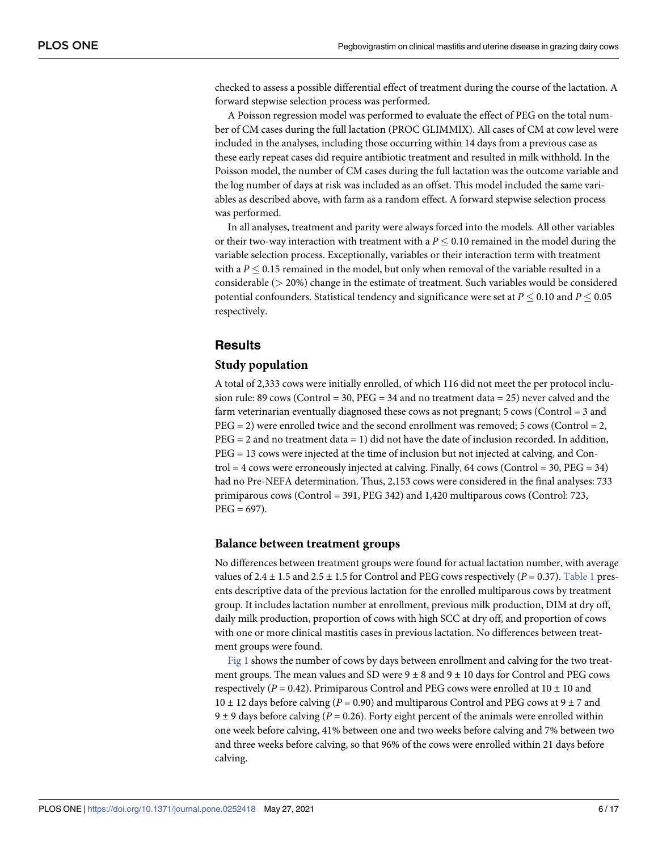<span id="page-5-0"></span>checked to assess a possible differential effect of treatment during the course of the lactation. A forward stepwise selection process was performed.

A Poisson regression model was performed to evaluate the effect of PEG on the total number of CM cases during the full lactation (PROC GLIMMIX). All cases of CM at cow level were included in the analyses, including those occurring within 14 days from a previous case as these early repeat cases did require antibiotic treatment and resulted in milk withhold. In the Poisson model, the number of CM cases during the full lactation was the outcome variable and the log number of days at risk was included as an offset. This model included the same variables as described above, with farm as a random effect. A forward stepwise selection process was performed.

In all analyses, treatment and parity were always forced into the models. All other variables or their two-way interaction with treatment with a  $P \le 0.10$  remained in the model during the variable selection process. Exceptionally, variables or their interaction term with treatment with a  $P \leq 0.15$  remained in the model, but only when removal of the variable resulted in a considerable (*>* 20%) change in the estimate of treatment. Such variables would be considered potential confounders. Statistical tendency and significance were set at  $P \le 0.10$  and  $P \le 0.05$ respectively.

# **Results**

#### **Study population**

A total of 2,333 cows were initially enrolled, of which 116 did not meet the per protocol inclusion rule: 89 cows (Control = 30, PEG = 34 and no treatment data = 25) never calved and the farm veterinarian eventually diagnosed these cows as not pregnant; 5 cows (Control = 3 and  $PEG = 2$ ) were enrolled twice and the second enrollment was removed; 5 cows (Control = 2,  $PEG = 2$  and no treatment data  $= 1$ ) did not have the date of inclusion recorded. In addition, PEG = 13 cows were injected at the time of inclusion but not injected at calving, and Control  $= 4$  cows were erroneously injected at calving. Finally, 64 cows (Control  $= 30$ , PEG  $= 34$ ) had no Pre-NEFA determination. Thus, 2,153 cows were considered in the final analyses: 733 primiparous cows (Control = 391, PEG 342) and 1,420 multiparous cows (Control: 723,  $PEG = 697$ ).

#### **Balance between treatment groups**

No differences between treatment groups were found for actual lactation number, with average values of 2.4  $\pm$  1.5 and 2.5  $\pm$  1.5 for Control and PEG cows respectively ( $P = 0.37$ ). [Table](#page-6-0) 1 presents descriptive data of the previous lactation for the enrolled multiparous cows by treatment group. It includes lactation number at enrollment, previous milk production, DIM at dry off, daily milk production, proportion of cows with high SCC at dry off, and proportion of cows with one or more clinical mastitis cases in previous lactation. No differences between treatment groups were found.

[Fig](#page-6-0) 1 shows the number of cows by days between enrollment and calving for the two treatment groups. The mean values and SD were  $9 \pm 8$  and  $9 \pm 10$  days for Control and PEG cows respectively ( $P = 0.42$ ). Primiparous Control and PEG cows were enrolled at 10  $\pm$  10 and 10  $\pm$  12 days before calving (*P* = 0.90) and multiparous Control and PEG cows at 9  $\pm$  7 and  $9 \pm 9$  days before calving ( $P = 0.26$ ). Forty eight percent of the animals were enrolled within one week before calving, 41% between one and two weeks before calving and 7% between two and three weeks before calving, so that 96% of the cows were enrolled within 21 days before calving.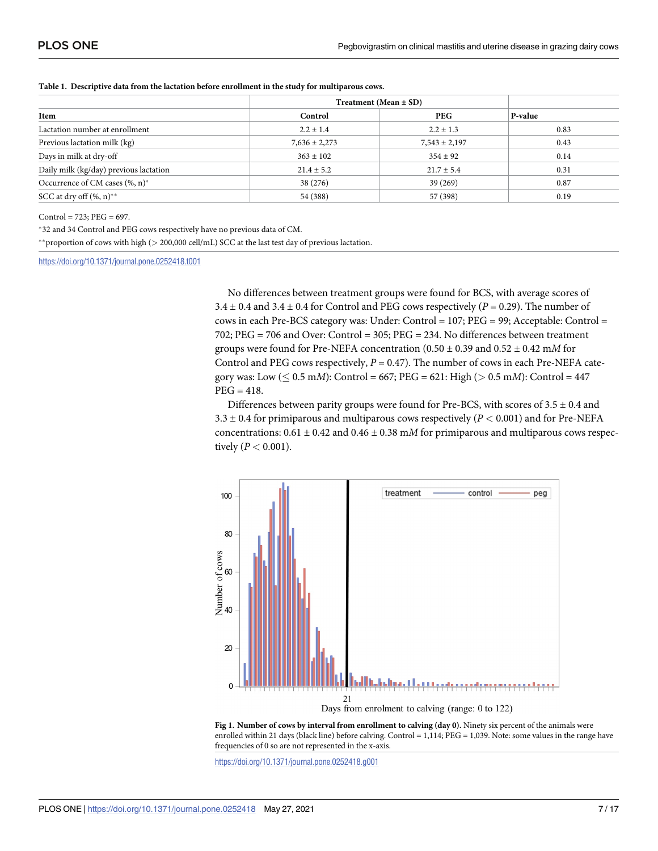|                                         |                   | Treatment (Mean $\pm$ SD) |         |  |
|-----------------------------------------|-------------------|---------------------------|---------|--|
| Item                                    | Control           | <b>PEG</b>                | P-value |  |
| Lactation number at enrollment          | $2.2 \pm 1.4$     | $2.2 \pm 1.3$             | 0.83    |  |
| Previous lactation milk (kg)            | $7,636 \pm 2,273$ | $7,543 \pm 2,197$         | 0.43    |  |
| Days in milk at dry-off                 | $363 \pm 102$     | $354 \pm 92$              | 0.14    |  |
| Daily milk (kg/day) previous lactation  | $21.4 \pm 5.2$    | $21.7 \pm 5.4$            | 0.31    |  |
| Occurrence of CM cases $(\%$ , n)*      | 38 (276)          | 39 (269)                  | 0.87    |  |
| SCC at dry off $(\%$ , n) <sup>**</sup> | 54 (388)          | 57 (398)                  | 0.19    |  |

<span id="page-6-0"></span>**[Table](#page-5-0) 1. Descriptive data from the lactation before enrollment in the study for multiparous cows.**

 $Control = 723$ ;  $PEG = 697$ .

�32 and 34 Control and PEG cows respectively have no previous data of CM.

��proportion of cows with high (*>* 200,000 cell/mL) SCC at the last test day of previous lactation.

<https://doi.org/10.1371/journal.pone.0252418.t001>

No differences between treatment groups were found for BCS, with average scores of  $3.4 \pm 0.4$  and  $3.4 \pm 0.4$  for Control and PEG cows respectively ( $P = 0.29$ ). The number of cows in each Pre-BCS category was: Under: Control = 107; PEG = 99; Acceptable: Control = 702; PEG = 706 and Over: Control = 305; PEG = 234. No differences between treatment groups were found for Pre-NEFA concentration (0.50 ± 0.39 and 0.52 ± 0.42 m*M* for Control and PEG cows respectively,  $P = 0.47$ ). The number of cows in each Pre-NEFA category was: Low (� 0.5 m*M*): Control = 667; PEG = 621: High (*>* 0.5 m*M*): Control = 447  $PEG = 418.$ 

Differences between parity groups were found for Pre-BCS, with scores of  $3.5 \pm 0.4$  and 3.3  $\pm$  0.4 for primiparous and multiparous cows respectively ( $P$  < 0.001) and for Pre-NEFA concentrations:  $0.61 \pm 0.42$  and  $0.46 \pm 0.38$  m*M* for primiparous and multiparous cows respectively (*P <* 0.001).





<https://doi.org/10.1371/journal.pone.0252418.g001>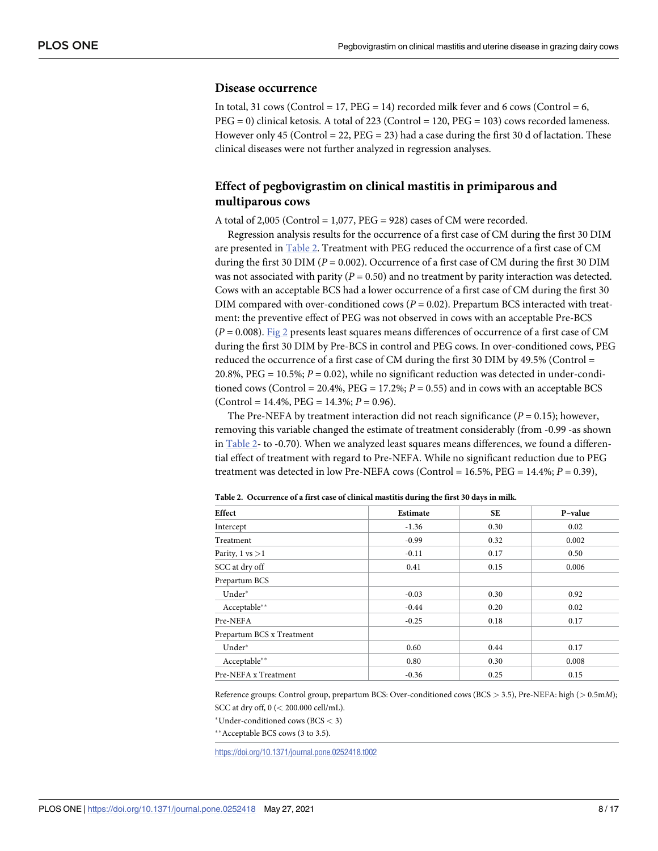#### <span id="page-7-0"></span>**Disease occurrence**

In total, 31 cows (Control = 17,  $PEG = 14$ ) recorded milk fever and 6 cows (Control = 6, PEG = 0) clinical ketosis. A total of 223 (Control = 120, PEG = 103) cows recorded lameness. However only 45 (Control = 22,  $PEG = 23$ ) had a case during the first 30 d of lactation. These clinical diseases were not further analyzed in regression analyses.

# **Effect of pegbovigrastim on clinical mastitis in primiparous and multiparous cows**

A total of 2,005 (Control =  $1,077$ , PEG = 928) cases of CM were recorded.

Regression analysis results for the occurrence of a first case of CM during the first 30 DIM are presented in Table 2. Treatment with PEG reduced the occurrence of a first case of CM during the first 30 DIM ( $P = 0.002$ ). Occurrence of a first case of CM during the first 30 DIM was not associated with parity  $(P = 0.50)$  and no treatment by parity interaction was detected. Cows with an acceptable BCS had a lower occurrence of a first case of CM during the first 30 DIM compared with over-conditioned cows (*P* = 0.02). Prepartum BCS interacted with treatment: the preventive effect of PEG was not observed in cows with an acceptable Pre-BCS (*P* = 0.008). [Fig](#page-8-0) 2 presents least squares means differences of occurrence of a first case of CM during the first 30 DIM by Pre-BCS in control and PEG cows. In over-conditioned cows, PEG reduced the occurrence of a first case of CM during the first 30 DIM by 49.5% (Control  $=$ 20.8%, PEG = 10.5%; *P* = 0.02), while no significant reduction was detected in under-conditioned cows (Control =  $20.4\%$ , PEG =  $17.2\%$ ;  $P = 0.55$ ) and in cows with an acceptable BCS  $(Control = 14.4\%, PEG = 14.3\%; P = 0.96).$ 

The Pre-NEFA by treatment interaction did not reach significance  $(P = 0.15)$ ; however, removing this variable changed the estimate of treatment considerably (from -0.99 -as shown in Table 2- to -0.70). When we analyzed least squares means differences, we found a differential effect of treatment with regard to Pre-NEFA. While no significant reduction due to PEG treatment was detected in low Pre-NEFA cows (Control = 16.5%, PEG = 14.4%; *P* = 0.39),

| Effect                      | Estimate | <b>SE</b> | P-value |
|-----------------------------|----------|-----------|---------|
| Intercept                   | $-1.36$  | 0.30      | 0.02    |
| Treatment                   | $-0.99$  | 0.32      | 0.002   |
| Parity, $1 \text{ vs } > 1$ | $-0.11$  | 0.17      | 0.50    |
| SCC at dry off              | 0.41     | 0.15      | 0.006   |
| Prepartum BCS               |          |           |         |
| Under*                      | $-0.03$  | 0.30      | 0.92    |
| Acceptable**                | $-0.44$  | 0.20      | 0.02    |
| Pre-NEFA                    | $-0.25$  | 0.18      | 0.17    |
| Prepartum BCS x Treatment   |          |           |         |
| Under*                      | 0.60     | 0.44      | 0.17    |
| Acceptable**                | 0.80     | 0.30      | 0.008   |
| Pre-NEFA x Treatment        | $-0.36$  | 0.25      | 0.15    |

**Table 2. Occurrence of a first case of clinical mastitis during the first 30 days in milk.**

Reference groups: Control group, prepartum BCS: Over-conditioned cows (BCS *>* 3.5), Pre-NEFA: high (*>* 0.5m*M*); SCC at dry off, 0 (*<* 200.000 cell/mL).

�Under-conditioned cows (BCS *<* 3)

\*\* Acceptable BCS cows (3 to 3.5).

<https://doi.org/10.1371/journal.pone.0252418.t002>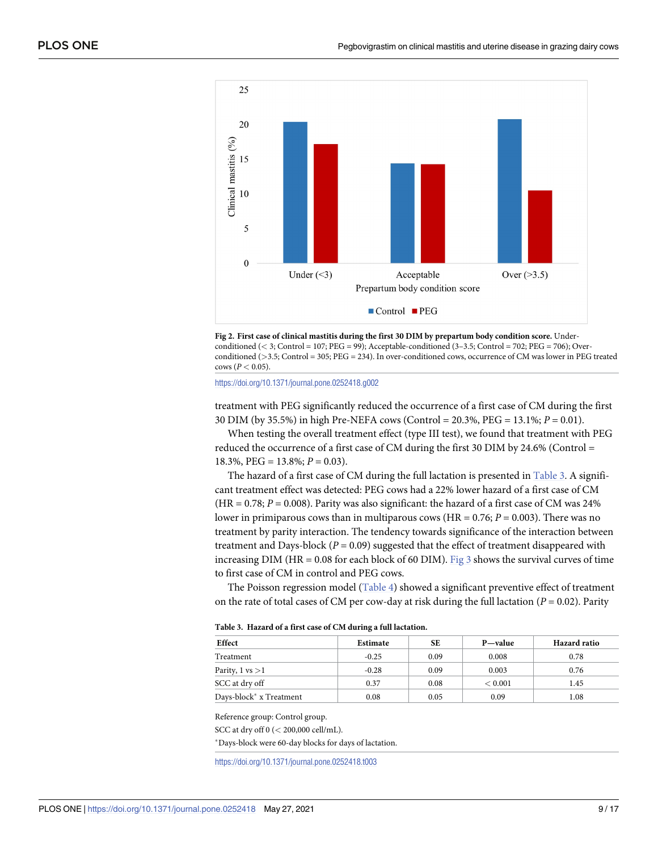<span id="page-8-0"></span>



<https://doi.org/10.1371/journal.pone.0252418.g002>

treatment with PEG significantly reduced the occurrence of a first case of CM during the first 30 DIM (by 35.5%) in high Pre-NEFA cows (Control = 20.3%, PEG = 13.1%; *P* = 0.01).

When testing the overall treatment effect (type III test), we found that treatment with PEG reduced the occurrence of a first case of CM during the first 30 DIM by 24.6% (Control = 18.3%, PEG = 13.8%; *P* = 0.03).

The hazard of a first case of CM during the full lactation is presented in Table 3. A significant treatment effect was detected: PEG cows had a 22% lower hazard of a first case of CM  $(HR = 0.78; P = 0.008)$ . Parity was also significant: the hazard of a first case of CM was 24% lower in primiparous cows than in multiparous cows (HR = 0.76; *P* = 0.003). There was no treatment by parity interaction. The tendency towards significance of the interaction between treatment and Days-block ( $P = 0.09$ ) suggested that the effect of treatment disappeared with increasing DIM (HR = 0.08 for each block of 60 DIM). [Fig](#page-9-0) 3 shows the survival curves of time to first case of CM in control and PEG cows.

The Poisson regression model [\(Table](#page-9-0) 4) showed a significant preventive effect of treatment on the rate of total cases of CM per cow-day at risk during the full lactation (*P* = 0.02). Parity

| Effect                              | Estimate | SЕ   | P—value | Hazard ratio |
|-------------------------------------|----------|------|---------|--------------|
| Treatment                           | $-0.25$  | 0.09 | 0.008   | 0.78         |
| Parity, $1 \text{ vs } > 1$         | $-0.28$  | 0.09 | 0.003   | 0.76         |
| SCC at dry off                      | 0.37     | 0.08 | < 0.001 | 1.45         |
| Days-block <sup>*</sup> x Treatment | 0.08     | 0.05 | 0.09    | 1.08         |

|  |  |  |  | Table 3. Hazard of a first case of CM during a full lactation. |
|--|--|--|--|----------------------------------------------------------------|
|--|--|--|--|----------------------------------------------------------------|

Reference group: Control group.

SCC at dry off 0 (*<* 200,000 cell/mL).

�Days-block were 60-day blocks for days of lactation.

<https://doi.org/10.1371/journal.pone.0252418.t003>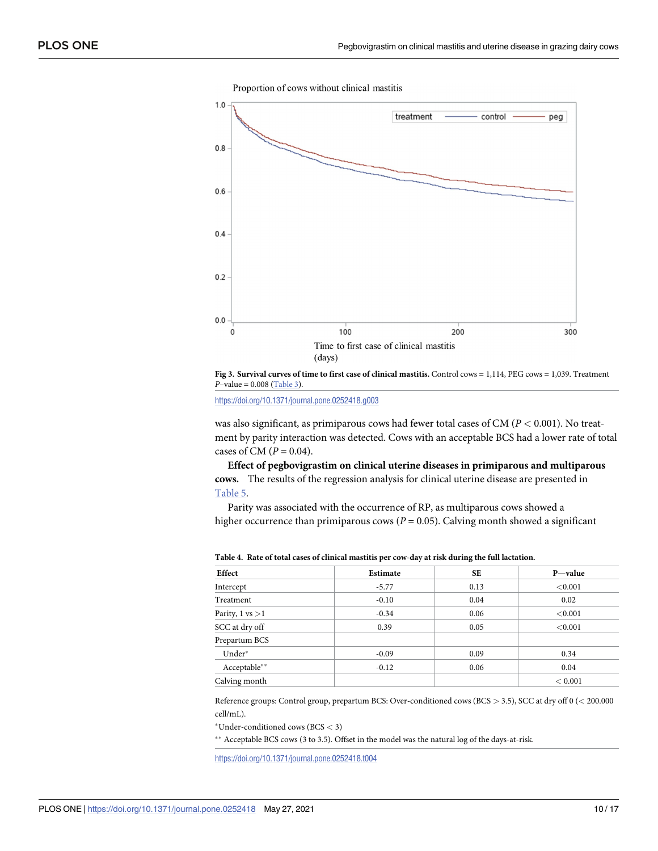<span id="page-9-0"></span>

Proportion of cows without clinical mastitis



<https://doi.org/10.1371/journal.pone.0252418.g003>

was also significant, as primiparous cows had fewer total cases of CM (*P <* 0.001). No treatment by parity interaction was detected. Cows with an acceptable BCS had a lower rate of total cases of CM  $(P = 0.04)$ .

**Effect of pegbovigrastim on clinical uterine diseases in primiparous and multiparous cows.** The results of the regression analysis for clinical uterine disease are presented in [Table](#page-10-0) 5.

Parity was associated with the occurrence of RP, as multiparous cows showed a higher occurrence than primiparous cows ( $P = 0.05$ ). Calving month showed a significant

| Effect                     | Estimate | <b>SE</b> | P—value    |
|----------------------------|----------|-----------|------------|
| Intercept                  | $-5.77$  | 0.13      | ${<}0.001$ |
| Treatment                  | $-0.10$  | 0.04      | 0.02       |
| Parity, $1 \text{ vs } >1$ | $-0.34$  | 0.06      | < 0.001    |
| SCC at dry off             | 0.39     | 0.05      | ${<}0.001$ |
| Prepartum BCS              |          |           |            |
| Under*                     | $-0.09$  | 0.09      | 0.34       |
| Acceptable**               | $-0.12$  | 0.06      | 0.04       |
| Calving month              |          |           | < 0.001    |

**[Table](#page-8-0) 4. Rate of total cases of clinical mastitis per cow-day at risk during the full lactation.**

Reference groups: Control group, prepartum BCS: Over-conditioned cows (BCS *>* 3.5), SCC at dry off 0 (*<* 200.000 cell/mL).

�Under-conditioned cows (BCS *<* 3)

\*\* Acceptable BCS cows (3 to 3.5). Offset in the model was the natural log of the days-at-risk.

<https://doi.org/10.1371/journal.pone.0252418.t004>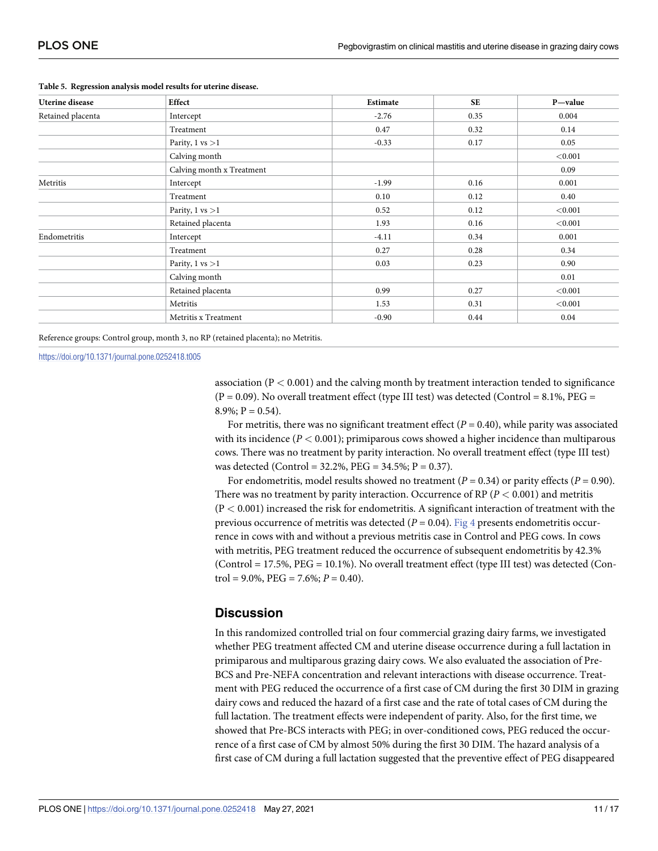| <b>Uterine</b> disease | Effect                      | Estimate | <b>SE</b> | P-value |
|------------------------|-----------------------------|----------|-----------|---------|
| Retained placenta      | Intercept                   | $-2.76$  | 0.35      | 0.004   |
|                        | Treatment                   | 0.47     | 0.32      | 0.14    |
|                        | Parity, $1 \text{ vs } > 1$ | $-0.33$  | 0.17      | 0.05    |
|                        | Calving month               |          |           | < 0.001 |
|                        | Calving month x Treatment   |          |           | 0.09    |
| Metritis               | Intercept                   | $-1.99$  | 0.16      | 0.001   |
|                        | Treatment                   | 0.10     | 0.12      | 0.40    |
|                        | Parity, $1 \text{ vs } > 1$ | 0.52     | 0.12      | < 0.001 |
|                        | Retained placenta           | 1.93     | 0.16      | < 0.001 |
| Endometritis           | Intercept                   | $-4.11$  | 0.34      | 0.001   |
|                        | Treatment                   | 0.27     | 0.28      | 0.34    |
|                        | Parity, $1 \text{ vs } > 1$ | 0.03     | 0.23      | 0.90    |
|                        | Calving month               |          |           | 0.01    |
|                        | Retained placenta           | 0.99     | 0.27      | < 0.001 |
|                        | Metritis                    | 1.53     | 0.31      | < 0.001 |
|                        | Metritis x Treatment        | $-0.90$  | 0.44      | 0.04    |

#### <span id="page-10-0"></span>**[Table](#page-9-0) 5. Regression analysis model results for uterine disease.**

Reference groups: Control group, month 3, no RP (retained placenta); no Metritis.

<https://doi.org/10.1371/journal.pone.0252418.t005>

association (P *<* 0.001) and the calving month by treatment interaction tended to significance  $(P = 0.09)$ . No overall treatment effect (type III test) was detected (Control = 8.1%, PEG =  $8.9\%; P = 0.54.$ 

For metritis, there was no significant treatment effect  $(P = 0.40)$ , while parity was associated with its incidence (*P <* 0.001); primiparous cows showed a higher incidence than multiparous cows. There was no treatment by parity interaction. No overall treatment effect (type III test) was detected (Control =  $32.2\%$ , PEG =  $34.5\%$ ; P = 0.37).

For endometritis, model results showed no treatment  $(P = 0.34)$  or parity effects  $(P = 0.90)$ . There was no treatment by parity interaction. Occurrence of RP (*P <* 0.001) and metritis (P *<* 0.001) increased the risk for endometritis. A significant interaction of treatment with the previous occurrence of metritis was detected (*P* = 0.04). [Fig](#page-11-0) 4 presents endometritis occurrence in cows with and without a previous metritis case in Control and PEG cows. In cows with metritis, PEG treatment reduced the occurrence of subsequent endometritis by 42.3%  $(Control = 17.5\%, PEG = 10.1\%).$  No overall treatment effect (type III test) was detected  $(Con$ trol =  $9.0\%$ , PEG =  $7.6\%$ ;  $P = 0.40$ ).

# **Discussion**

In this randomized controlled trial on four commercial grazing dairy farms, we investigated whether PEG treatment affected CM and uterine disease occurrence during a full lactation in primiparous and multiparous grazing dairy cows. We also evaluated the association of Pre-BCS and Pre-NEFA concentration and relevant interactions with disease occurrence. Treatment with PEG reduced the occurrence of a first case of CM during the first 30 DIM in grazing dairy cows and reduced the hazard of a first case and the rate of total cases of CM during the full lactation. The treatment effects were independent of parity. Also, for the first time, we showed that Pre-BCS interacts with PEG; in over-conditioned cows, PEG reduced the occurrence of a first case of CM by almost 50% during the first 30 DIM. The hazard analysis of a first case of CM during a full lactation suggested that the preventive effect of PEG disappeared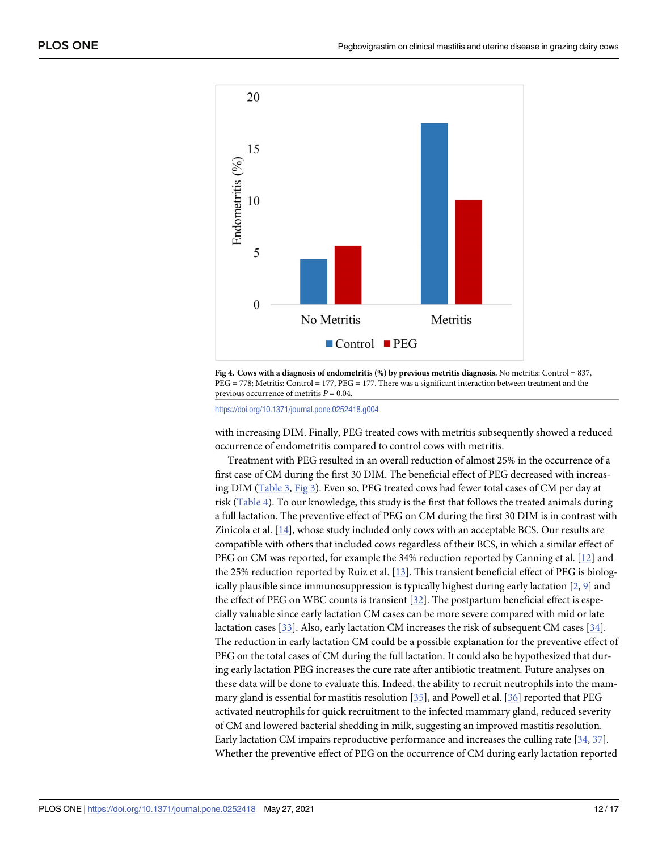<span id="page-11-0"></span>

**[Fig](#page-10-0) 4. Cows with a diagnosis of endometritis (%) by previous metritis diagnosis.** No metritis: Control = 837, PEG = 778; Metritis: Control = 177, PEG = 177. There was a significant interaction between treatment and the previous occurrence of metritis *P* = 0.04.

<https://doi.org/10.1371/journal.pone.0252418.g004>

with increasing DIM. Finally, PEG treated cows with metritis subsequently showed a reduced occurrence of endometritis compared to control cows with metritis.

Treatment with PEG resulted in an overall reduction of almost 25% in the occurrence of a first case of CM during the first 30 DIM. The beneficial effect of PEG decreased with increasing DIM [\(Table](#page-8-0) 3, [Fig](#page-9-0) 3). Even so, PEG treated cows had fewer total cases of CM per day at risk ([Table](#page-9-0) 4). To our knowledge, this study is the first that follows the treated animals during a full lactation. The preventive effect of PEG on CM during the first 30 DIM is in contrast with Zinicola et al. [\[14\]](#page-14-0), whose study included only cows with an acceptable BCS. Our results are compatible with others that included cows regardless of their BCS, in which a similar effect of PEG on CM was reported, for example the 34% reduction reported by Canning et al. [[12](#page-14-0)] and the 25% reduction reported by Ruiz et al. [\[13\]](#page-14-0). This transient beneficial effect of PEG is biologically plausible since immunosuppression is typically highest during early lactation  $[2, 9]$  $[2, 9]$  $[2, 9]$  $[2, 9]$  $[2, 9]$  and the effect of PEG on WBC counts is transient [[32](#page-15-0)]. The postpartum beneficial effect is especially valuable since early lactation CM cases can be more severe compared with mid or late lactation cases [\[33\]](#page-15-0). Also, early lactation CM increases the risk of subsequent CM cases [\[34\]](#page-15-0). The reduction in early lactation CM could be a possible explanation for the preventive effect of PEG on the total cases of CM during the full lactation. It could also be hypothesized that during early lactation PEG increases the cure rate after antibiotic treatment. Future analyses on these data will be done to evaluate this. Indeed, the ability to recruit neutrophils into the mammary gland is essential for mastitis resolution [\[35\]](#page-15-0), and Powell et al. [[36](#page-15-0)] reported that PEG activated neutrophils for quick recruitment to the infected mammary gland, reduced severity of CM and lowered bacterial shedding in milk, suggesting an improved mastitis resolution. Early lactation CM impairs reproductive performance and increases the culling rate [[34,](#page-15-0) [37](#page-16-0)]. Whether the preventive effect of PEG on the occurrence of CM during early lactation reported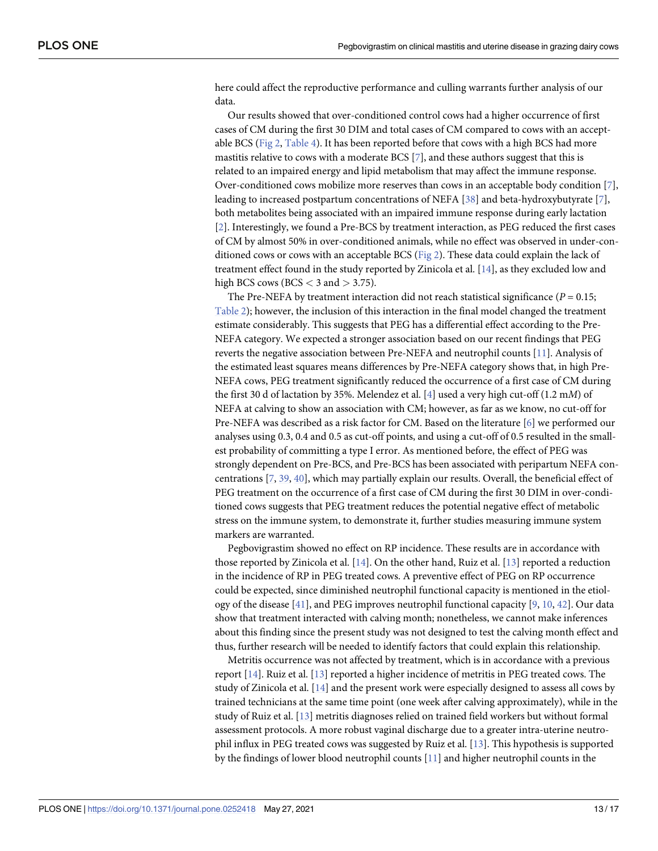<span id="page-12-0"></span>here could affect the reproductive performance and culling warrants further analysis of our data.

Our results showed that over-conditioned control cows had a higher occurrence of first cases of CM during the first 30 DIM and total cases of CM compared to cows with an acceptable BCS [\(Fig](#page-8-0) 2, [Table](#page-9-0) 4). It has been reported before that cows with a high BCS had more mastitis relative to cows with a moderate BCS [\[7](#page-14-0)], and these authors suggest that this is related to an impaired energy and lipid metabolism that may affect the immune response. Over-conditioned cows mobilize more reserves than cows in an acceptable body condition [\[7\]](#page-14-0), leading to increased postpartum concentrations of NEFA [\[38\]](#page-16-0) and beta-hydroxybutyrate [\[7](#page-14-0)], both metabolites being associated with an impaired immune response during early lactation [\[2](#page-14-0)]. Interestingly, we found a Pre-BCS by treatment interaction, as PEG reduced the first cases of CM by almost 50% in over-conditioned animals, while no effect was observed in under-conditioned cows or cows with an acceptable BCS [\(Fig](#page-8-0) 2). These data could explain the lack of treatment effect found in the study reported by Zinicola et al. [[14](#page-14-0)], as they excluded low and high BCS cows (BCS *<* 3 and *>* 3.75).

The Pre-NEFA by treatment interaction did not reach statistical significance ( $P = 0.15$ ; [Table](#page-7-0) 2); however, the inclusion of this interaction in the final model changed the treatment estimate considerably. This suggests that PEG has a differential effect according to the Pre-NEFA category. We expected a stronger association based on our recent findings that PEG reverts the negative association between Pre-NEFA and neutrophil counts [\[11\]](#page-14-0). Analysis of the estimated least squares means differences by Pre-NEFA category shows that, in high Pre-NEFA cows, PEG treatment significantly reduced the occurrence of a first case of CM during the first 30 d of lactation by 35%. Melendez et al. [\[4](#page-14-0)] used a very high cut-off (1.2 m*M*) of NEFA at calving to show an association with CM; however, as far as we know, no cut-off for Pre-NEFA was described as a risk factor for CM. Based on the literature [\[6\]](#page-14-0) we performed our analyses using 0.3, 0.4 and 0.5 as cut-off points, and using a cut-off of 0.5 resulted in the smallest probability of committing a type I error. As mentioned before, the effect of PEG was strongly dependent on Pre-BCS, and Pre-BCS has been associated with peripartum NEFA concentrations [\[7](#page-14-0), [39](#page-16-0), [40](#page-16-0)], which may partially explain our results. Overall, the beneficial effect of PEG treatment on the occurrence of a first case of CM during the first 30 DIM in over-conditioned cows suggests that PEG treatment reduces the potential negative effect of metabolic stress on the immune system, to demonstrate it, further studies measuring immune system markers are warranted.

Pegbovigrastim showed no effect on RP incidence. These results are in accordance with those reported by Zinicola et al. [\[14](#page-14-0)]. On the other hand, Ruiz et al. [\[13\]](#page-14-0) reported a reduction in the incidence of RP in PEG treated cows. A preventive effect of PEG on RP occurrence could be expected, since diminished neutrophil functional capacity is mentioned in the etiology of the disease [[41](#page-16-0)], and PEG improves neutrophil functional capacity [\[9](#page-14-0), [10](#page-14-0), [42](#page-16-0)]. Our data show that treatment interacted with calving month; nonetheless, we cannot make inferences about this finding since the present study was not designed to test the calving month effect and thus, further research will be needed to identify factors that could explain this relationship.

Metritis occurrence was not affected by treatment, which is in accordance with a previous report [[14](#page-14-0)]. Ruiz et al. [\[13\]](#page-14-0) reported a higher incidence of metritis in PEG treated cows. The study of Zinicola et al. [\[14\]](#page-14-0) and the present work were especially designed to assess all cows by trained technicians at the same time point (one week after calving approximately), while in the study of Ruiz et al. [[13](#page-14-0)] metritis diagnoses relied on trained field workers but without formal assessment protocols. A more robust vaginal discharge due to a greater intra-uterine neutrophil influx in PEG treated cows was suggested by Ruiz et al. [\[13\]](#page-14-0). This hypothesis is supported by the findings of lower blood neutrophil counts [\[11\]](#page-14-0) and higher neutrophil counts in the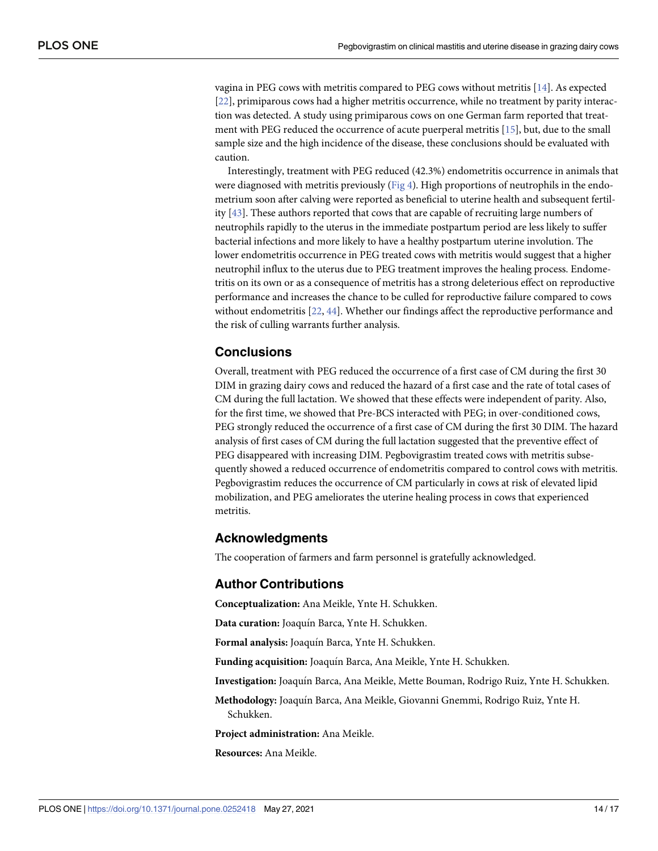<span id="page-13-0"></span>vagina in PEG cows with metritis compared to PEG cows without metritis [[14](#page-14-0)]. As expected [\[22\]](#page-15-0), primiparous cows had a higher metritis occurrence, while no treatment by parity interaction was detected. A study using primiparous cows on one German farm reported that treatment with PEG reduced the occurrence of acute puerperal metritis [\[15\]](#page-14-0), but, due to the small sample size and the high incidence of the disease, these conclusions should be evaluated with caution.

Interestingly, treatment with PEG reduced (42.3%) endometritis occurrence in animals that were diagnosed with metritis previously [\(Fig](#page-11-0) 4). High proportions of neutrophils in the endometrium soon after calving were reported as beneficial to uterine health and subsequent fertility [[43](#page-16-0)]. These authors reported that cows that are capable of recruiting large numbers of neutrophils rapidly to the uterus in the immediate postpartum period are less likely to suffer bacterial infections and more likely to have a healthy postpartum uterine involution. The lower endometritis occurrence in PEG treated cows with metritis would suggest that a higher neutrophil influx to the uterus due to PEG treatment improves the healing process. Endometritis on its own or as a consequence of metritis has a strong deleterious effect on reproductive performance and increases the chance to be culled for reproductive failure compared to cows without endometritis [\[22,](#page-15-0) [44\]](#page-16-0). Whether our findings affect the reproductive performance and the risk of culling warrants further analysis.

# **Conclusions**

Overall, treatment with PEG reduced the occurrence of a first case of CM during the first 30 DIM in grazing dairy cows and reduced the hazard of a first case and the rate of total cases of CM during the full lactation. We showed that these effects were independent of parity. Also, for the first time, we showed that Pre-BCS interacted with PEG; in over-conditioned cows, PEG strongly reduced the occurrence of a first case of CM during the first 30 DIM. The hazard analysis of first cases of CM during the full lactation suggested that the preventive effect of PEG disappeared with increasing DIM. Pegbovigrastim treated cows with metritis subsequently showed a reduced occurrence of endometritis compared to control cows with metritis. Pegbovigrastim reduces the occurrence of CM particularly in cows at risk of elevated lipid mobilization, and PEG ameliorates the uterine healing process in cows that experienced metritis.

#### **Acknowledgments**

The cooperation of farmers and farm personnel is gratefully acknowledged.

## **Author Contributions**

**Conceptualization:** Ana Meikle, Ynte H. Schukken.

Data curation: Joaquín Barca, Ynte H. Schukken.

**Formal analysis:** Joaquı´n Barca, Ynte H. Schukken.

**Funding acquisition:** Joaquı´n Barca, Ana Meikle, Ynte H. Schukken.

**Investigation:** Joaquı´n Barca, Ana Meikle, Mette Bouman, Rodrigo Ruiz, Ynte H. Schukken.

**Methodology:** Joaquı´n Barca, Ana Meikle, Giovanni Gnemmi, Rodrigo Ruiz, Ynte H. Schukken.

**Project administration:** Ana Meikle.

**Resources:** Ana Meikle.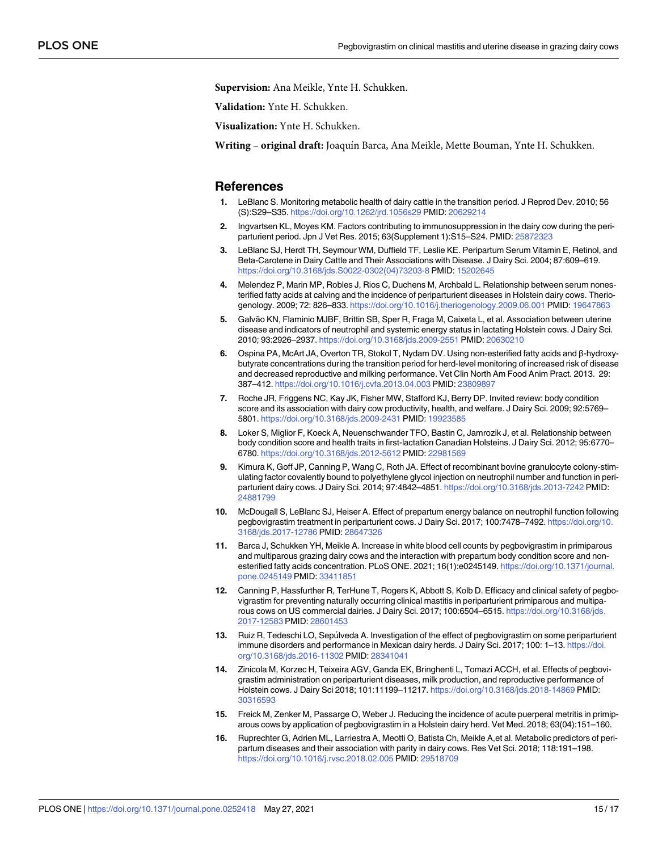<span id="page-14-0"></span>**Supervision:** Ana Meikle, Ynte H. Schukken.

**Validation:** Ynte H. Schukken.

**Visualization:** Ynte H. Schukken.

**Writing – original draft:** Joaquı´n Barca, Ana Meikle, Mette Bouman, Ynte H. Schukken.

#### **References**

- **[1](#page-1-0).** LeBlanc S. Monitoring metabolic health of dairy cattle in the transition period. J Reprod Dev. 2010; 56 (S):S29–S35. <https://doi.org/10.1262/jrd.1056s29> PMID: [20629214](http://www.ncbi.nlm.nih.gov/pubmed/20629214)
- **[2](#page-1-0).** Ingvartsen KL, Moyes KM. Factors contributing to immunosuppression in the dairy cow during the periparturient period. Jpn J Vet Res. 2015; 63(Supplement 1):S15–S24. PMID: [25872323](http://www.ncbi.nlm.nih.gov/pubmed/25872323)
- **3.** LeBlanc SJ, Herdt TH, Seymour WM, Duffield TF, Leslie KE. Peripartum Serum Vitamin E, Retinol, and Beta-Carotene in Dairy Cattle and Their Associations with Disease. J Dairy Sci. 2004; 87:609–619. [https://doi.org/10.3168/jds.S0022-0302\(04\)73203-8](https://doi.org/10.3168/jds.S0022-0302%2804%2973203-8) PMID: [15202645](http://www.ncbi.nlm.nih.gov/pubmed/15202645)
- **[4](#page-12-0).** Melendez P, Marin MP, Robles J, Rios C, Duchens M, Archbald L. Relationship between serum nonesterified fatty acids at calving and the incidence of periparturient diseases in Holstein dairy cows. Theriogenology. 2009; 72: 826–833. <https://doi.org/10.1016/j.theriogenology.2009.06.001> PMID: [19647863](http://www.ncbi.nlm.nih.gov/pubmed/19647863)
- **5.** Galvão KN, Flaminio MJBF, Brittin SB, Sper R, Fraga M, Caixeta L, et al. Association between uterine disease and indicators of neutrophil and systemic energy status in lactating Holstein cows. J Dairy Sci. 2010; 93:2926–2937. <https://doi.org/10.3168/jds.2009-2551> PMID: [20630210](http://www.ncbi.nlm.nih.gov/pubmed/20630210)
- **[6](#page-1-0).** Ospina PA, McArt JA, Overton TR, Stokol T, Nydam DV. Using non-esterified fatty acids and β-hydroxybutyrate concentrations during the transition period for herd-level monitoring of increased risk of disease and decreased reproductive and milking performance. Vet Clin North Am Food Anim Pract. 2013. 29: 387–412. <https://doi.org/10.1016/j.cvfa.2013.04.003> PMID: [23809897](http://www.ncbi.nlm.nih.gov/pubmed/23809897)
- **[7](#page-1-0).** Roche JR, Friggens NC, Kay JK, Fisher MW, Stafford KJ, Berry DP. Invited review: body condition score and its association with dairy cow productivity, health, and welfare. J Dairy Sci. 2009; 92:5769– 5801. <https://doi.org/10.3168/jds.2009-2431> PMID: [19923585](http://www.ncbi.nlm.nih.gov/pubmed/19923585)
- **[8](#page-1-0).** Loker S, Miglior F, Koeck A, Neuenschwander TFO, Bastin C, Jamrozik J, et al. Relationship between body condition score and health traits in first-lactation Canadian Holsteins. J Dairy Sci. 2012; 95:6770– 6780. <https://doi.org/10.3168/jds.2012-5612> PMID: [22981569](http://www.ncbi.nlm.nih.gov/pubmed/22981569)
- **[9](#page-1-0).** Kimura K, Goff JP, Canning P, Wang C, Roth JA. Effect of recombinant bovine granulocyte colony-stimulating factor covalently bound to polyethylene glycol injection on neutrophil number and function in periparturient dairy cows. J Dairy Sci. 2014; 97:4842–4851. <https://doi.org/10.3168/jds.2013-7242> PMID: [24881799](http://www.ncbi.nlm.nih.gov/pubmed/24881799)
- **[10](#page-1-0).** McDougall S, LeBlanc SJ, Heiser A. Effect of prepartum energy balance on neutrophil function following pegbovigrastim treatment in periparturient cows. J Dairy Sci. 2017; 100:7478–7492. [https://doi.org/10.](https://doi.org/10.3168/jds.2017-12786) [3168/jds.2017-12786](https://doi.org/10.3168/jds.2017-12786) PMID: [28647326](http://www.ncbi.nlm.nih.gov/pubmed/28647326)
- **[11](#page-1-0).** Barca J, Schukken YH, Meikle A. Increase in white blood cell counts by pegbovigrastim in primiparous and multiparous grazing dairy cows and the interaction with prepartum body condition score and nonesterified fatty acids concentration. PLoS ONE. 2021; 16(1):e0245149. [https://doi.org/10.1371/journal.](https://doi.org/10.1371/journal.pone.0245149) [pone.0245149](https://doi.org/10.1371/journal.pone.0245149) PMID: [33411851](http://www.ncbi.nlm.nih.gov/pubmed/33411851)
- **[12](#page-1-0).** Canning P, Hassfurther R, TerHune T, Rogers K, Abbott S, Kolb D. Efficacy and clinical safety of pegbovigrastim for preventing naturally occurring clinical mastitis in periparturient primiparous and multiparous cows on US commercial dairies. J Dairy Sci. 2017; 100:6504–6515. [https://doi.org/10.3168/jds.](https://doi.org/10.3168/jds.2017-12583) [2017-12583](https://doi.org/10.3168/jds.2017-12583) PMID: [28601453](http://www.ncbi.nlm.nih.gov/pubmed/28601453)
- **[13](#page-1-0).** Ruiz R, Tedeschi LO, Sepúlveda A. Investigation of the effect of pegbovigrastim on some periparturient immune disorders and performance in Mexican dairy herds. J Dairy Sci. 2017; 100: 1–13. [https://doi.](https://doi.org/10.3168/jds.2016-11302) [org/10.3168/jds.2016-11302](https://doi.org/10.3168/jds.2016-11302) PMID: [28341041](http://www.ncbi.nlm.nih.gov/pubmed/28341041)
- **[14](#page-1-0).** Zinicola M, Korzec H, Teixeira AGV, Ganda EK, Bringhenti L, Tomazi ACCH, et al. Effects of pegbovigrastim administration on periparturient diseases, milk production, and reproductive performance of Holstein cows. J Dairy Sci 2018; 101:11199–11217. <https://doi.org/10.3168/jds.2018-14869> PMID: [30316593](http://www.ncbi.nlm.nih.gov/pubmed/30316593)
- **[15](#page-1-0).** Freick M, Zenker M, Passarge O, Weber J. Reducing the incidence of acute puerperal metritis in primiparous cows by application of pegbovigrastim in a Holstein dairy herd. Vet Med. 2018; 63(04):151–160.
- **[16](#page-1-0).** Ruprechter G, Adrien ML, Larriestra A, Meotti O, Batista Ch, Meikle A,et al. Metabolic predictors of peripartum diseases and their association with parity in dairy cows. Res Vet Sci. 2018; 118:191–198. <https://doi.org/10.1016/j.rvsc.2018.02.005> PMID: [29518709](http://www.ncbi.nlm.nih.gov/pubmed/29518709)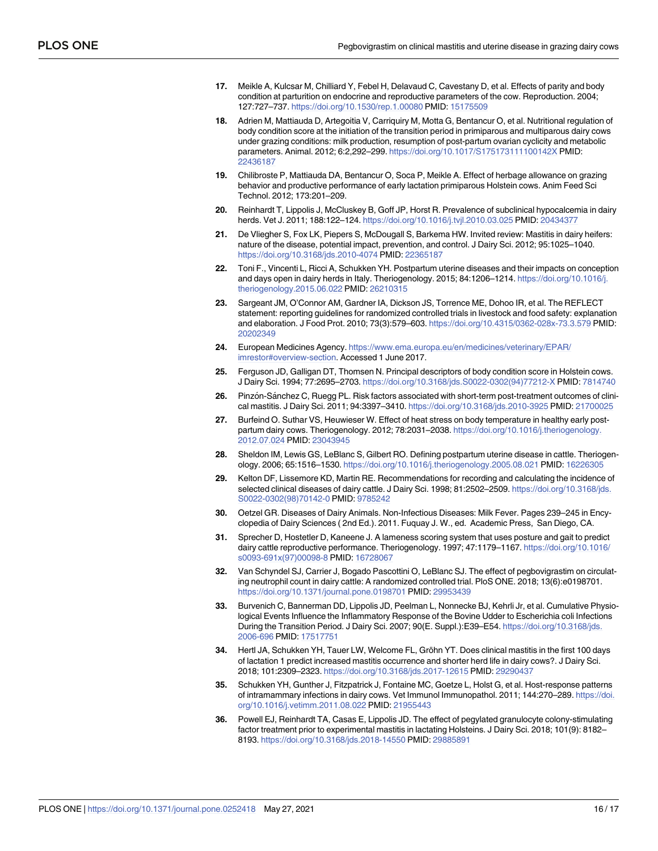- <span id="page-15-0"></span>**[17](#page-1-0).** Meikle A, Kulcsar M, Chilliard Y, Febel H, Delavaud C, Cavestany D, et al. Effects of parity and body condition at parturition on endocrine and reproductive parameters of the cow. Reproduction. 2004; 127:727–737. <https://doi.org/10.1530/rep.1.00080> PMID: [15175509](http://www.ncbi.nlm.nih.gov/pubmed/15175509)
- **[18](#page-1-0).** Adrien M, Mattiauda D, Artegoitia V, Carriquiry M, Motta G, Bentancur O, et al. Nutritional regulation of body condition score at the initiation of the transition period in primiparous and multiparous dairy cows under grazing conditions: milk production, resumption of post-partum ovarian cyclicity and metabolic parameters. Animal. 2012; 6:2,292–299. <https://doi.org/10.1017/S175173111100142X> PMID: [22436187](http://www.ncbi.nlm.nih.gov/pubmed/22436187)
- **[19](#page-1-0).** Chilibroste P, Mattiauda DA, Bentancur O, Soca P, Meikle A. Effect of herbage allowance on grazing behavior and productive performance of early lactation primiparous Holstein cows. Anim Feed Sci Technol. 2012; 173:201–209.
- **[20](#page-1-0).** Reinhardt T, Lippolis J, McCluskey B, Goff JP, Horst R. Prevalence of subclinical hypocalcemia in dairy herds. Vet J. 2011; 188:122–124. <https://doi.org/10.1016/j.tvjl.2010.03.025> PMID: [20434377](http://www.ncbi.nlm.nih.gov/pubmed/20434377)
- **21.** De Vliegher S, Fox LK, Piepers S, McDougall S, Barkema HW. Invited review: Mastitis in dairy heifers: nature of the disease, potential impact, prevention, and control. J Dairy Sci. 2012; 95:1025–1040. <https://doi.org/10.3168/jds.2010-4074> PMID: [22365187](http://www.ncbi.nlm.nih.gov/pubmed/22365187)
- **[22](#page-1-0).** Toni F., Vincenti L, Ricci A, Schukken YH. Postpartum uterine diseases and their impacts on conception and days open in dairy herds in Italy. Theriogenology. 2015; 84:1206–1214. [https://doi.org/10.1016/j.](https://doi.org/10.1016/j.theriogenology.2015.06.022) [theriogenology.2015.06.022](https://doi.org/10.1016/j.theriogenology.2015.06.022) PMID: [26210315](http://www.ncbi.nlm.nih.gov/pubmed/26210315)
- **[23](#page-3-0).** Sargeant JM, O'Connor AM, Gardner IA, Dickson JS, Torrence ME, Dohoo IR, et al. The REFLECT statement: reporting guidelines for randomized controlled trials in livestock and food safety: explanation and elaboration. J Food Prot. 2010; 73(3):579–603. <https://doi.org/10.4315/0362-028x-73.3.579> PMID: [20202349](http://www.ncbi.nlm.nih.gov/pubmed/20202349)
- **[24](#page-3-0).** European Medicines Agency. [https://www.ema.europa.eu/en/medicines/veterinary/EPAR/](https://www.ema.europa.eu/en/medicines/veterinary/EPAR/imrestor#overview-section) [imrestor#overview-section.](https://www.ema.europa.eu/en/medicines/veterinary/EPAR/imrestor#overview-section) Accessed 1 June 2017.
- **[25](#page-3-0).** Ferguson JD, Galligan DT, Thomsen N. Principal descriptors of body condition score in Holstein cows. J Dairy Sci. 1994; 77:2695–2703. [https://doi.org/10.3168/jds.S0022-0302\(94\)77212-X](https://doi.org/10.3168/jds.S0022-0302%2894%2977212-X) PMID: [7814740](http://www.ncbi.nlm.nih.gov/pubmed/7814740)
- **[26](#page-3-0).** Pinzón-Sánchez C, Ruegg PL. Risk factors associated with short-term post-treatment outcomes of clinical mastitis. J Dairy Sci. 2011; 94:3397–3410. <https://doi.org/10.3168/jds.2010-3925> PMID: [21700025](http://www.ncbi.nlm.nih.gov/pubmed/21700025)
- **[27](#page-3-0).** Burfeind O. Suthar VS, Heuwieser W. Effect of heat stress on body temperature in healthy early postpartum dairy cows. Theriogenology. 2012; 78:2031–2038. [https://doi.org/10.1016/j.theriogenology.](https://doi.org/10.1016/j.theriogenology.2012.07.024) [2012.07.024](https://doi.org/10.1016/j.theriogenology.2012.07.024) PMID: [23043945](http://www.ncbi.nlm.nih.gov/pubmed/23043945)
- **[28](#page-3-0).** Sheldon IM, Lewis GS, LeBlanc S, Gilbert RO. Defining postpartum uterine disease in cattle. Theriogenology. 2006; 65:1516–1530. <https://doi.org/10.1016/j.theriogenology.2005.08.021> PMID: [16226305](http://www.ncbi.nlm.nih.gov/pubmed/16226305)
- **[29](#page-4-0).** Kelton DF, Lissemore KD, Martin RE. Recommendations for recording and calculating the incidence of selected clinical diseases of dairy cattle. J Dairy Sci. 1998; 81:2502–2509. [https://doi.org/10.3168/jds.](https://doi.org/10.3168/jds.S0022-0302%2898%2970142-0) [S0022-0302\(98\)70142-0](https://doi.org/10.3168/jds.S0022-0302%2898%2970142-0) PMID: [9785242](http://www.ncbi.nlm.nih.gov/pubmed/9785242)
- **[30](#page-4-0).** Oetzel GR. Diseases of Dairy Animals. Non-Infectious Diseases: Milk Fever. Pages 239–245 in Encyclopedia of Dairy Sciences ( 2nd Ed.). 2011. Fuquay J. W., ed. Academic Press, San Diego, CA.
- **[31](#page-4-0).** Sprecher D, Hostetler D, Kaneene J. A lameness scoring system that uses posture and gait to predict dairy cattle reproductive performance. Theriogenology. 1997; 47:1179–1167. [https://doi.org/10.1016/](https://doi.org/10.1016/s0093-691x%2897%2900098-8) [s0093-691x\(97\)00098-8](https://doi.org/10.1016/s0093-691x%2897%2900098-8) PMID: [16728067](http://www.ncbi.nlm.nih.gov/pubmed/16728067)
- **[32](#page-11-0).** Van Schyndel SJ, Carrier J, Bogado Pascottini O, LeBlanc SJ. The effect of pegbovigrastim on circulating neutrophil count in dairy cattle: A randomized controlled trial. PloS ONE. 2018; 13(6):e0198701. <https://doi.org/10.1371/journal.pone.0198701> PMID: [29953439](http://www.ncbi.nlm.nih.gov/pubmed/29953439)
- **[33](#page-11-0).** Burvenich C, Bannerman DD, Lippolis JD, Peelman L, Nonnecke BJ, Kehrli Jr, et al. Cumulative Physiological Events Influence the Inflammatory Response of the Bovine Udder to Escherichia coli Infections During the Transition Period. J Dairy Sci. 2007; 90(E. Suppl.):E39–E54. [https://doi.org/10.3168/jds.](https://doi.org/10.3168/jds.2006-696) [2006-696](https://doi.org/10.3168/jds.2006-696) PMID: [17517751](http://www.ncbi.nlm.nih.gov/pubmed/17517751)
- **[34](#page-11-0).** Hertl JA, Schukken YH, Tauer LW, Welcome FL, Gröhn YT. Does clinical mastitis in the first 100 days of lactation 1 predict increased mastitis occurrence and shorter herd life in dairy cows?. J Dairy Sci. 2018; 101:2309–2323. <https://doi.org/10.3168/jds.2017-12615> PMID: [29290437](http://www.ncbi.nlm.nih.gov/pubmed/29290437)
- **[35](#page-11-0).** Schukken YH, Gunther J, Fitzpatrick J, Fontaine MC, Goetze L, Holst G, et al. Host-response patterns of intramammary infections in dairy cows. Vet Immunol Immunopathol. 2011; 144:270–289. [https://doi.](https://doi.org/10.1016/j.vetimm.2011.08.022) [org/10.1016/j.vetimm.2011.08.022](https://doi.org/10.1016/j.vetimm.2011.08.022) PMID: [21955443](http://www.ncbi.nlm.nih.gov/pubmed/21955443)
- **[36](#page-11-0).** Powell EJ, Reinhardt TA, Casas E, Lippolis JD. The effect of pegylated granulocyte colony-stimulating factor treatment prior to experimental mastitis in lactating Holsteins. J Dairy Sci. 2018; 101(9): 8182– 8193. <https://doi.org/10.3168/jds.2018-14550> PMID: [29885891](http://www.ncbi.nlm.nih.gov/pubmed/29885891)